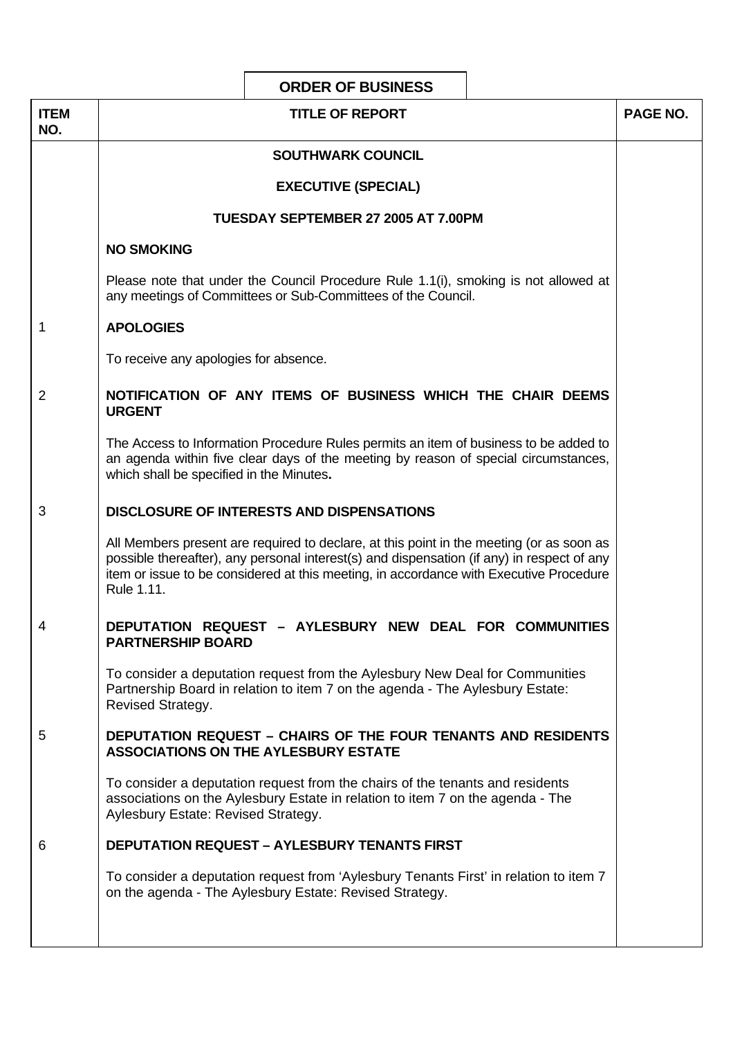|                    | <b>ORDER OF BUSINESS</b>                                                                                                                                                                                                                                                                       |          |
|--------------------|------------------------------------------------------------------------------------------------------------------------------------------------------------------------------------------------------------------------------------------------------------------------------------------------|----------|
| <b>ITEM</b><br>NO. | <b>TITLE OF REPORT</b>                                                                                                                                                                                                                                                                         | PAGE NO. |
|                    | <b>SOUTHWARK COUNCIL</b>                                                                                                                                                                                                                                                                       |          |
|                    | <b>EXECUTIVE (SPECIAL)</b>                                                                                                                                                                                                                                                                     |          |
|                    | TUESDAY SEPTEMBER 27 2005 AT 7.00PM                                                                                                                                                                                                                                                            |          |
|                    | <b>NO SMOKING</b>                                                                                                                                                                                                                                                                              |          |
|                    | Please note that under the Council Procedure Rule 1.1(i), smoking is not allowed at<br>any meetings of Committees or Sub-Committees of the Council.                                                                                                                                            |          |
| 1                  | <b>APOLOGIES</b>                                                                                                                                                                                                                                                                               |          |
|                    | To receive any apologies for absence.                                                                                                                                                                                                                                                          |          |
| 2                  | NOTIFICATION OF ANY ITEMS OF BUSINESS WHICH THE CHAIR DEEMS<br><b>URGENT</b>                                                                                                                                                                                                                   |          |
|                    | The Access to Information Procedure Rules permits an item of business to be added to<br>an agenda within five clear days of the meeting by reason of special circumstances,<br>which shall be specified in the Minutes.                                                                        |          |
| 3                  | <b>DISCLOSURE OF INTERESTS AND DISPENSATIONS</b>                                                                                                                                                                                                                                               |          |
|                    | All Members present are required to declare, at this point in the meeting (or as soon as<br>possible thereafter), any personal interest(s) and dispensation (if any) in respect of any<br>item or issue to be considered at this meeting, in accordance with Executive Procedure<br>Rule 1.11. |          |
| 4                  | DEPUTATION REQUEST - AYLESBURY NEW DEAL FOR COMMUNITIES<br><b>PARTNERSHIP BOARD</b>                                                                                                                                                                                                            |          |
|                    | To consider a deputation request from the Aylesbury New Deal for Communities<br>Partnership Board in relation to item 7 on the agenda - The Aylesbury Estate:<br>Revised Strategy.                                                                                                             |          |
| 5                  | <b>DEPUTATION REQUEST - CHAIRS OF THE FOUR TENANTS AND RESIDENTS</b><br><b>ASSOCIATIONS ON THE AYLESBURY ESTATE</b>                                                                                                                                                                            |          |
|                    | To consider a deputation request from the chairs of the tenants and residents<br>associations on the Aylesbury Estate in relation to item 7 on the agenda - The<br>Aylesbury Estate: Revised Strategy.                                                                                         |          |
| 6                  | <b>DEPUTATION REQUEST - AYLESBURY TENANTS FIRST</b>                                                                                                                                                                                                                                            |          |
|                    | To consider a deputation request from 'Aylesbury Tenants First' in relation to item 7<br>on the agenda - The Aylesbury Estate: Revised Strategy.                                                                                                                                               |          |
|                    |                                                                                                                                                                                                                                                                                                |          |

 $\mathsf{r}$